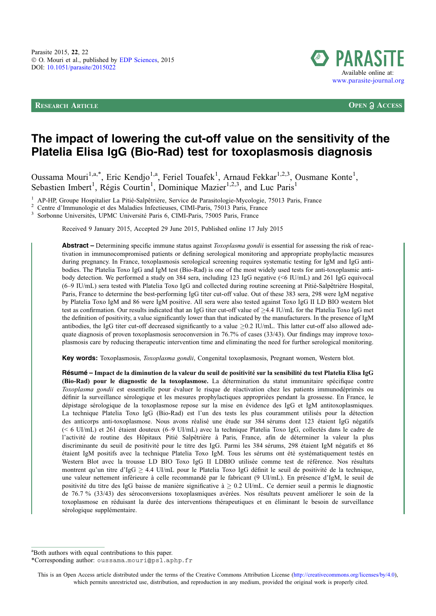RESEARCH ARTICLE **OPEN ACCESS**



# The impact of lowering the cut-off value on the sensitivity of the Platelia Elisa IgG (Bio-Rad) test for toxoplasmosis diagnosis

Oussama Mouri<sup>1,a,\*</sup>, Eric Kendjo<sup>1,a</sup>, Feriel Touafek<sup>1</sup>, Arnaud Fekkar<sup>1,2,3</sup>, Ousmane Konte<sup>1</sup>, Sebastien Imbert<sup>1</sup>, Régis Courtin<sup>1</sup>, Dominique Mazier<sup>1,2,3</sup>, and Luc Paris<sup>1</sup>

<sup>1</sup> AP-HP, Groupe Hospitalier La Pitié-Salpêtrière, Service de Parasitologie-Mycologie, 75013 Paris, France<br>
<sup>2</sup> Centre d'Immunologie et des Maladies Infectieuses, CIMI-Paris, 75013 Paris, France<br>
<sup>3</sup> Sorbonne Universités

Received 9 January 2015, Accepted 29 June 2015, Published online 17 July 2015

Abstract – Determining specific immune status against *Toxoplasma gondii* is essential for assessing the risk of reactivation in immunocompromised patients or defining serological monitoring and appropriate prophylactic measures during pregnancy. In France, toxoplasmosis serological screening requires systematic testing for IgM and IgG antibodies. The Platelia Toxo IgG and IgM test (Bio-Rad) is one of the most widely used tests for anti-toxoplasmic antibody detection. We performed a study on 384 sera, including 123 IgG negative (<6 IU/mL) and 261 IgG equivocal (6–9 IU/mL) sera tested with Platelia Toxo IgG and collected during routine screening at Pitié-Salpêtrière Hospital, Paris, France to determine the best-performing IgG titer cut-off value. Out of these 383 sera, 298 were IgM negative by Platelia Toxo IgM and 86 were IgM positive. All sera were also tested against Toxo IgG II LD BIO western blot test as confirmation. Our results indicated that an IgG titer cut-off value of  $\geq$ 4.4 IU/mL for the Platelia Toxo IgG met the definition of positivity, a value significantly lower than that indicated by the manufacturers. In the presence of IgM antibodies, the IgG titer cut-off decreased significantly to a value  $\geq 0.2$  IU/mL. This latter cut-off also allowed adequate diagnosis of proven toxoplasmosis seroconversion in 76.7% of cases (33/43). Our findings may improve toxoplasmosis care by reducing therapeutic intervention time and eliminating the need for further serological monitoring.

Key words: Toxoplasmosis, Toxoplasma gondii, Congenital toxoplasmosis, Pregnant women, Western blot.

Résumé – Impact de la diminution de la valeur du seuil de positivité sur la sensibilité du test Platelia Elisa IgG (Bio-Rad) pour le diagnostic de la toxoplasmose. La détermination du statut immunitaire spécifique contre Toxoplasma gondii est essentielle pour évaluer le risque de réactivation chez les patients immunodéprimés ou définir la surveillance sérologique et les mesures prophylactiques appropriées pendant la grossesse. En France, le dépistage sérologique de la toxoplasmose repose sur la mise en évidence des IgG et IgM antitoxoplasmiques. La technique Platelia Toxo IgG (Bio-Rad) est l'un des tests les plus couramment utilisés pour la détection des anticorps anti-toxoplasmose. Nous avons réalisé une étude sur 384 sérums dont 123 étaient IgG négatifs (< 6 UI/mL) et 261 étaient douteux (6–9 UI/mL) avec la technique Platelia Toxo IgG, collectés dans le cadre de l'activité de routine des Hôpitaux Pitié Salpêtrière à Paris, France, afin de déterminer la valeur la plus discriminante du seuil de positivité pour le titre des IgG. Parmi les 384 sérums, 298 étaient IgM négatifs et 86 étaient IgM positifs avec la technique Platelia Toxo IgM. Tous les sérums ont été systématiquement testés en Western Blot avec la trousse LD BIO Toxo IgG II LDBIO utilisée comme test de référence. Nos résultats montrent qu'un titre d'IgG  $\geq$  4.4 UI/mL pour le Platelia Toxo IgG définit le seuil de positivité de la technique, une valeur nettement inférieure à celle recommandé par le fabricant (9 UI/mL). En présence d'IgM, le seuil de positivité du titre des IgG baisse de manière significative à  $\geq 0.2$  UI/mL. Ce dernier seuil a permis le diagnostic de 76.7 % (33/43) des séroconversions toxoplasmiques avérées. Nos résultats peuvent améliorer le soin de la toxoplasmose en réduisant la durée des interventions thérapeutiques et en éliminant le besoin de surveillance sérologique supplémentaire.

<sup>a</sup>Both authors with equal contributions to this paper.

\*Corresponding author: oussama.mouri@psl.aphp.fr

This is an Open Access article distributed under the terms of the Creative Commons Attribution License [\(http://creativecommons.org/licenses/by/4.0\)](http://creativecommons.org/licenses/by/4.0/), which permits unrestricted use, distribution, and reproduction in any medium, provided the original work is properly cited.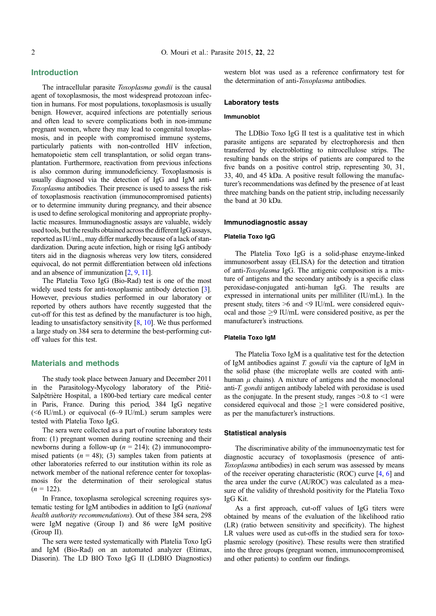### Introduction

The intracellular parasite Toxoplasma gondii is the causal agent of toxoplasmosis, the most widespread protozoan infection in humans. For most populations, toxoplasmosis is usually benign. However, acquired infections are potentially serious and often lead to severe complications both in non-immune pregnant women, where they may lead to congenital toxoplasmosis, and in people with compromised immune systems, particularly patients with non-controlled HIV infection, hematopoietic stem cell transplantation, or solid organ transplantation. Furthermore, reactivation from previous infections is also common during immunodeficiency. Toxoplasmosis is usually diagnosed via the detection of IgG and IgM anti-Toxoplasma antibodies. Their presence is used to assess the risk of toxoplasmosis reactivation (immunocompromised patients) or to determine immunity during pregnancy, and their absence is used to define serological monitoring and appropriate prophylactic measures. Immunodiagnostic assays are valuable, widely used tools, but the results obtained across the different IgG assays, reported as IU/mL, may differ markedly because of a lack of standardization. During acute infection, high or rising IgG antibody titers aid in the diagnosis whereas very low titers, considered equivocal, do not permit differentiation between old infections and an absence of immunization [\[2,](#page-4-0) [9](#page-4-0), [11\]](#page-4-0).

The Platelia Toxo IgG (Bio-Rad) test is one of the most widely used tests for anti-toxoplasmic antibody detection [\[3](#page-4-0)]. However, previous studies performed in our laboratory or reported by others authors have recently suggested that the cut-off for this test as defined by the manufacturer is too high, leading to unsatisfactory sensitivity [[8](#page-4-0), [10](#page-4-0)]. We thus performed a large study on 384 sera to determine the best-performing cutoff values for this test.

### Materials and methods

The study took place between January and December 2011 in the Parasitology-Mycology laboratory of the Pitié-Salpêtrière Hospital, a 1800-bed tertiary care medical center in Paris, France. During this period, 384 IgG negative  $(<6$  IU/mL) or equivocal  $(6-9$  IU/mL) serum samples were tested with Platelia Toxo IgG.

The sera were collected as a part of routine laboratory tests from: (1) pregnant women during routine screening and their newborns during a follow-up  $(n = 214)$ ; (2) immunocompromised patients ( $n = 48$ ); (3) samples taken from patients at other laboratories referred to our institution within its role as network member of the national reference center for toxoplasmosis for the determination of their serological status  $(n = 122)$ .

In France, toxoplasma serological screening requires systematic testing for IgM antibodies in addition to IgG (national health authority recommendations). Out of these 384 sera, 298 were IgM negative (Group I) and 86 were IgM positive (Group II).

The sera were tested systematically with Platelia Toxo IgG and IgM (Bio-Rad) on an automated analyzer (Etimax, Diasorin). The LD BIO Toxo IgG II (LDBIO Diagnostics) western blot was used as a reference confirmatory test for the determination of anti-Toxoplasma antibodies.

### Laboratory tests

#### Immunoblot

The LDBio Toxo IgG II test is a qualitative test in which parasite antigens are separated by electrophoresis and then transferred by electroblotting to nitrocellulose strips. The resulting bands on the strips of patients are compared to the five bands on a positive control strip, representing 30, 31, 33, 40, and 45 kDa. A positive result following the manufacturer's recommendations was defined by the presence of at least three matching bands on the patient strip, including necessarily the band at 30 kDa.

#### Immunodiagnostic assay

### Platelia Toxo IgG

The Platelia Toxo IgG is a solid-phase enzyme-linked immunosorbent assay (ELISA) for the detection and titration of anti-Toxoplasma IgG. The antigenic composition is a mixture of antigens and the secondary antibody is a specific class peroxidase-conjugated anti-human IgG. The results are expressed in international units per milliliter (IU/mL). In the present study, titers >6 and <9 IU/mL were considered equivocal and those  $\geq$ 9 IU/mL were considered positive, as per the manufacturer's instructions.

### Platelia Toxo IgM

The Platelia Toxo IgM is a qualitative test for the detection of IgM antibodies against T. gondii via the capture of IgM in the solid phase (the microplate wells are coated with antihuman  $\mu$  chains). A mixture of antigens and the monoclonal anti-T. gondii antigen antibody labeled with peroxidase is used as the conjugate. In the present study, ranges  $>0.8$  to  $<1$  were considered equivocal and those  $\geq$ 1 were considered positive, as per the manufacturer's instructions.

#### Statistical analysis

The discriminative ability of the immunoenzymatic test for diagnostic accuracy of toxoplasmosis (presence of anti-Toxoplasma antibodies) in each serum was assessed by means of the receiver operating characteristic (ROC) curve [[4,](#page-4-0) [6\]](#page-4-0) and the area under the curve (AUROC) was calculated as a measure of the validity of threshold positivity for the Platelia Toxo IgG Kit.

As a first approach, cut-off values of IgG titers were obtained by means of the evaluation of the likelihood ratio (LR) (ratio between sensitivity and specificity). The highest LR values were used as cut-offs in the studied sera for toxoplasmic serology (positive). These results were then stratified into the three groups (pregnant women, immunocompromised, and other patients) to confirm our findings.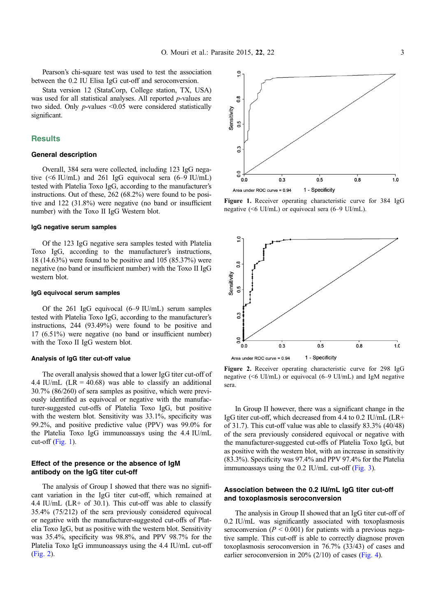Pearson's chi-square test was used to test the association between the 0.2 IU Elisa IgG cut-off and seroconversion.

Stata version 12 (StataCorp, College station, TX, USA) was used for all statistical analyses. All reported *p*-values are two sided. Only  $p$ -values <0.05 were considered statistically significant.

### **Results**

### General description

Overall, 384 sera were collected, including 123 IgG negative (<6 IU/mL) and 261 IgG equivocal sera (6–9 IU/mL) tested with Platelia Toxo IgG, according to the manufacturer's instructions. Out of these, 262 (68.2%) were found to be positive and 122 (31.8%) were negative (no band or insufficient number) with the Toxo II IgG Western blot.

#### IgG negative serum samples

Of the 123 IgG negative sera samples tested with Platelia Toxo IgG, according to the manufacturer's instructions, 18 (14.63%) were found to be positive and 105 (85.37%) were negative (no band or insufficient number) with the Toxo II IgG western blot.

#### IgG equivocal serum samples

Of the 261 IgG equivocal (6–9 IU/mL) serum samples tested with Platelia Toxo IgG, according to the manufacturer's instructions, 244 (93.49%) were found to be positive and 17 (6.51%) were negative (no band or insufficient number) with the Toxo II IgG western blot.

#### Analysis of IgG titer cut-off value

The overall analysis showed that a lower IgG titer cut-off of 4.4 IU/mL ( $LR = 40.68$ ) was able to classify an additional 30.7% (86/260) of sera samples as positive, which were previously identified as equivocal or negative with the manufacturer-suggested cut-offs of Platelia Toxo IgG, but positive with the western blot. Sensitivity was  $33.1\%$ , specificity was 99.2%, and positive predictive value (PPV) was 99.0% for the Platelia Toxo IgG immunoassays using the 4.4 IU/mL cut-off (Fig.  $1$ ).

### Effect of the presence or the absence of IgM antibody on the IgG titer cut-off

The analysis of Group I showed that there was no significant variation in the IgG titer cut-off, which remained at 4.4 IU/mL ( $LR+$  of 30.1). This cut-off was able to classify 35.4% (75/212) of the sera previously considered equivocal or negative with the manufacturer-suggested cut-offs of Platelia Toxo IgG, but as positive with the western blot. Sensitivity was 35.4%, specificity was 98.8%, and PPV 98.7% for the Platelia Toxo IgG immunoassays using the 4.4 IU/mL cut-off (Fig. 2).



Figure 1. Receiver operating characteristic curve for 384 IgG negative (<6 UI/mL) or equivocal sera (6–9 UI/mL).



Figure 2. Receiver operating characteristic curve for 298 IgG negative (<6 UI/mL) or equivocal (6–9 UI/mL) and IgM negative sera.

In Group II however, there was a significant change in the IgG titer cut-off, which decreased from 4.4 to 0.2 IU/mL (LR+ of 31.7). This cut-off value was able to classify 83.3% (40/48) of the sera previously considered equivocal or negative with the manufacturer-suggested cut-offs of Platelia Toxo IgG, but as positive with the western blot, with an increase in sensitivity (83.3%). Specificity was 97.4% and PPV 97.4% for the Platelia immunoassays using the 0.2 IU/mL cut-off [\(Fig. 3](#page-3-0)).

### Association between the 0.2 IU/mL IgG titer cut-off and toxoplasmosis seroconversion

The analysis in Group II showed that an IgG titer cut-off of 0.2 IU/mL was significantly associated with toxoplasmosis seroconversion ( $P < 0.001$ ) for patients with a previous negative sample. This cut-off is able to correctly diagnose proven toxoplasmosis seroconversion in 76.7% (33/43) of cases and earlier seroconversion in 20% (2/10) of cases [\(Fig. 4\)](#page-3-0).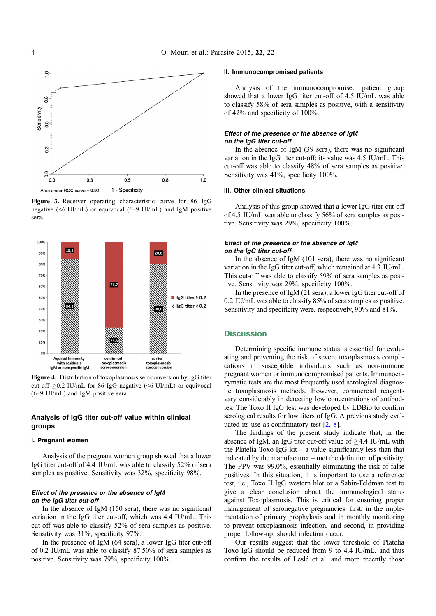<span id="page-3-0"></span>

Figure 3. Receiver operating characteristic curve for 86 IgG negative (<6 UI/mL) or equivocal (6–9 UI/mL) and IgM positive sera.



Figure 4. Distribution of toxoplasmosis seroconversion by IgG titer cut-off  $\geq$ 0.2 IU/mL for 86 IgG negative (<6 UI/mL) or equivocal (6–9 UI/mL) and IgM positive sera.

### Analysis of IgG titer cut-off value within clinical groups

#### I. Pregnant women

Analysis of the pregnant women group showed that a lower IgG titer cut-off of 4.4 IU/mL was able to classify 52% of sera samples as positive. Sensitivity was 32%, specificity 98%.

### Effect of the presence or the absence of IgM on the IgG titer cut-off

In the absence of IgM (150 sera), there was no significant variation in the IgG titer cut-off, which was 4.4 IU/mL. This cut-off was able to classify 52% of sera samples as positive. Sensitivity was 31%, specificity 97%.

In the presence of IgM (64 sera), a lower IgG titer cut-off of 0.2 IU/mL was able to classify 87.50% of sera samples as positive. Sensitivity was 79%, specificity 100%.

### II. Immunocompromised patients

Analysis of the immunocompromised patient group showed that a lower IgG titer cut-off of 4.5 IU/mL was able to classify 58% of sera samples as positive, with a sensitivity of 42% and specificity of 100%.

### Effect of the presence or the absence of IgM on the IgG titer cut-off

In the absence of IgM (39 sera), there was no significant variation in the IgG titer cut-off; its value was 4.5 IU/mL. This cut-off was able to classify 48% of sera samples as positive. Sensitivity was 41%, specificity 100%.

#### III. Other clinical situations

Analysis of this group showed that a lower IgG titer cut-off of 4.5 IU/mL was able to classify 56% of sera samples as positive. Sensitivity was 29%, specificity 100%.

### Effect of the presence or the absence of IgM on the IgG titer cut-off

In the absence of IgM (101 sera), there was no significant variation in the IgG titer cut-off, which remained at 4.3 IU/mL. This cut-off was able to classify 59% of sera samples as positive. Sensitivity was 29%, specificity 100%.

In the presence of IgM (21 sera), a lower IgG titer cut-off of 0.2 IU/mL was able to classify 85% of sera samples as positive. Sensitivity and specificity were, respectively, 90% and 81%.

### **Discussion**

Determining specific immune status is essential for evaluating and preventing the risk of severe toxoplasmosis complications in susceptible individuals such as non-immune pregnant women or immunocompromised patients. Immunoenzymatic tests are the most frequently used serological diagnostic toxoplasmosis methods. However, commercial reagents vary considerably in detecting low concentrations of antibodies. The Toxo II IgG test was developed by LDBio to confirm serological results for low titers of IgG. A previous study evaluated its use as confirmatory test [\[2](#page-4-0), [8\]](#page-4-0).

The findings of the present study indicate that, in the absence of IgM, an IgG titer cut-off value of  $\geq$ 4.4 IU/mL with the Platelia Toxo IgG kit – a value significantly less than that indicated by the manufacturer – met the definition of positivity. The PPV was 99.0%, essentially eliminating the risk of false positives. In this situation, it is important to use a reference test, i.e., Toxo II IgG western blot or a Sabin-Feldman test to give a clear conclusion about the immunological status against Toxoplasmosis. This is critical for ensuring proper management of seronegative pregnancies: first, in the implementation of primary prophylaxis and in monthly monitoring to prevent toxoplasmosis infection, and second, in providing proper follow-up, should infection occur.

Our results suggest that the lower threshold of Platelia Toxo IgG should be reduced from 9 to 4.4 IU/mL, and thus confirm the results of Leslé et al. and more recently those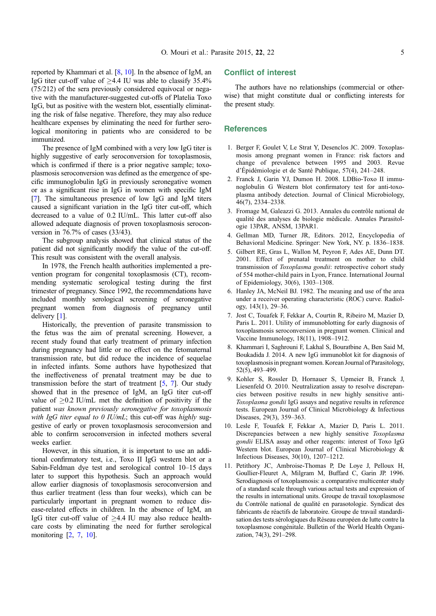<span id="page-4-0"></span>reported by Khammari et al. [8, 10]. In the absence of IgM, an IgG titer cut-off value of  $\geq$ 4.4 IU was able to classify 35.4% (75/212) of the sera previously considered equivocal or negative with the manufacturer-suggested cut-offs of Platelia Toxo IgG, but as positive with the western blot, essentially eliminating the risk of false negative. Therefore, they may also reduce healthcare expenses by eliminating the need for further serological monitoring in patients who are considered to be immunized.

The presence of IgM combined with a very low IgG titer is highly suggestive of early seroconversion for toxoplasmosis, which is confirmed if there is a prior negative sample; toxoplasmosis seroconversion was defined as the emergence of specific immunoglobulin IgG in previously seronegative women or as a significant rise in IgG in women with specific IgM [7]. The simultaneous presence of low IgG and IgM titers caused a significant variation in the IgG titer cut-off, which decreased to a value of 0.2 IU/mL. This latter cut-off also allowed adequate diagnosis of proven toxoplasmosis seroconversion in 76.7% of cases (33/43).

The subgroup analysis showed that clinical status of the patient did not significantly modify the value of the cut-off. This result was consistent with the overall analysis.

In 1978, the French health authorities implemented a prevention program for congenital toxoplasmosis (CT), recommending systematic serological testing during the first trimester of pregnancy. Since 1992, the recommendations have included monthly serological screening of seronegative pregnant women from diagnosis of pregnancy until delivery [1].

Historically, the prevention of parasite transmission to the fetus was the aim of prenatal screening. However, a recent study found that early treatment of primary infection during pregnancy had little or no effect on the fetomaternal transmission rate, but did reduce the incidence of sequelae in infected infants. Some authors have hypothesized that the ineffectiveness of prenatal treatment may be due to transmission before the start of treatment  $[5, 7]$ . Our study showed that in the presence of IgM, an IgG titer cut-off value of  $\geq$  0.2 IU/mL met the definition of positivity if the patient was known previously seronegative for toxoplasmosis with IgG titer equal to 0 IU/mL; this cut-off was highly suggestive of early or proven toxoplasmosis seroconversion and able to confirm seroconversion in infected mothers several weeks earlier.

However, in this situation, it is important to use an additional confirmatory test, i.e., Toxo II IgG western blot or a Sabin-Feldman dye test and serological control 10–15 days later to support this hypothesis. Such an approach would allow earlier diagnosis of toxoplasmosis seroconversion and thus earlier treatment (less than four weeks), which can be particularly important in pregnant women to reduce disease-related effects in children. In the absence of IgM, an IgG titer cut-off value of  $\geq$ 4.4 IU may also reduce healthcare costs by eliminating the need for further serological monitoring [2, 7, 10].

### Conflict of interest

The authors have no relationships (commercial or otherwise) that might constitute dual or conflicting interests for the present study.

### **References**

- 1. Berger F, Goulet V, Le Strat Y, Desenclos JC. 2009. Toxoplasmosis among pregnant women in France: risk factors and change of prevalence between 1995 and 2003. Revue d'Épidémiologie et de Santé Publique, 57(4), 241–248.
- 2. Franck J, Garin YJ, Dumon H. 2008. LDBio-Toxo II immunoglobulin G Western blot confirmatory test for anti-toxoplasma antibody detection. Journal of Clinical Microbiology, 46(7), 2334–2338.
- 3. Fromage M, Galeazzi G. 2013. Annales du contrôle national de qualité des analyses de biologie médicale. Annales Parasitologie 13PAR, ANSM, 13PAR1.
- 4. Gellman MD, Turner JR, Editors. 2012, Encyclopedia of Behavioral Medicine. Springer: New York, NY. p. 1836–1838.
- 5. Gilbert RE, Gras L, Wallon M, Peyron F, Ades AE, Dunn DT. 2001. Effect of prenatal treatment on mother to child transmission of Toxoplasma gondii: retrospective cohort study of 554 mother-child pairs in Lyon, France. International Journal of Epidemiology, 30(6), 1303–1308.
- 6. Hanley JA, McNeil BJ. 1982. The meaning and use of the area under a receiver operating characteristic (ROC) curve. Radiology, 143(1), 29–36.
- 7. Jost C, Touafek F, Fekkar A, Courtin R, Ribeiro M, Mazier D, Paris L. 2011. Utility of immunoblotting for early diagnosis of toxoplasmosis seroconversion in pregnant women. Clinical and Vaccine Immunology, 18(11), 1908–1912.
- 8. Khammari I, Saghrouni F, Lakhal S, Bouratbine A, Ben Said M, Boukadida J. 2014. A new IgG immunoblot kit for diagnosis of toxoplasmosis in pregnant women. Korean Journal of Parasitology, 52(5), 493–499.
- 9. Kohler S, Rossler D, Hornauer S, Upmeier B, Franck J, Liesenfeld O. 2010. Neutralization assay to resolve discrepancies between positive results in new highly sensitive anti-Toxoplasma gondii IgG assays and negative results in reference tests. European Journal of Clinical Microbiology & Infectious Diseases, 29(3), 359–363.
- 10. Lesle F, Touafek F, Fekkar A, Mazier D, Paris L. 2011. Discrepancies between a new highly sensitive Toxoplasma gondii ELISA assay and other reagents: interest of Toxo IgG Western blot. European Journal of Clinical Microbiology & Infectious Diseases, 30(10), 1207–1212.
- 11. Petithory JC, Ambroise-Thomas P, De Loye J, Pelloux H, Goullier-Fleuret A, Milgram M, Buffard C, Garin JP. 1996. Serodiagnosis of toxoplasmosis: a comparative multicenter study of a standard scale through various actual tests and expression of the results in international units. Groupe de travail toxoplasmose du Contrôle national de qualité en parasotologie. Syndicat des fabricants de réactifs de laboratoire. Groupe de travail standardisation des tests sérologiques du Réseau européen de lutte contre la toxoplasmose congénitale. Bulletin of the World Health Organization, 74(3), 291–298.